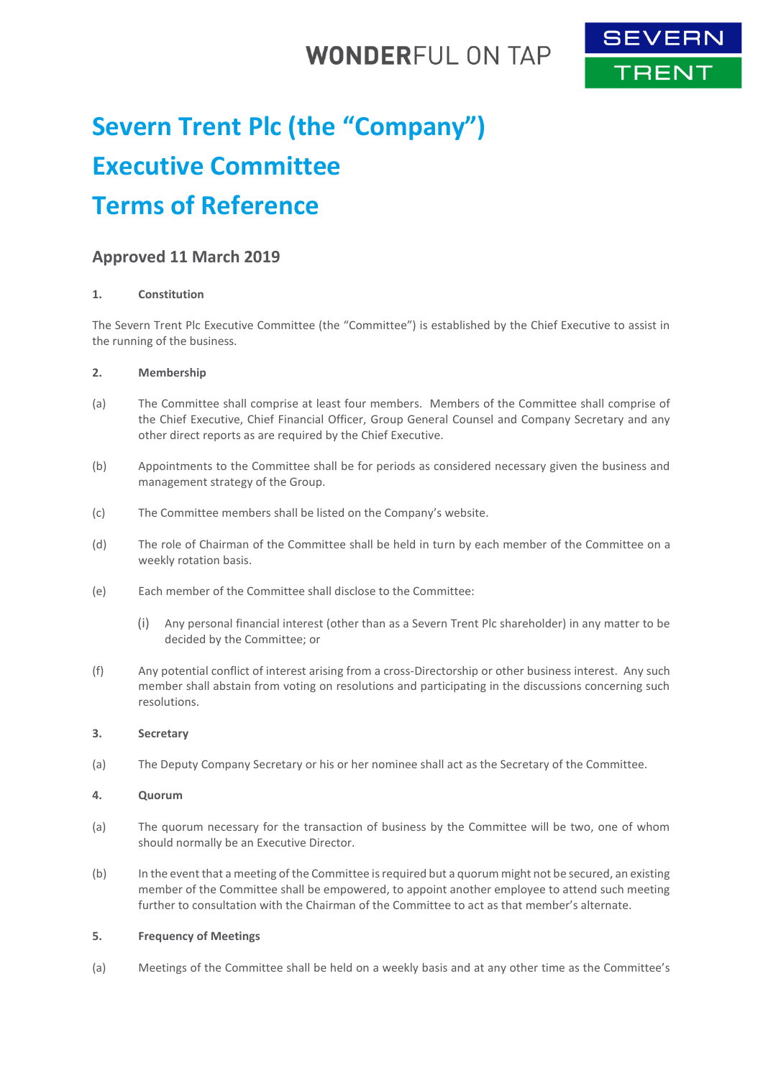## **WONDERFUL ON TAP**



# **Severn Trent Plc (the "Company") Executive Committee Terms of Reference**

### **Approved 11 March 2019**

#### **1. Constitution**

The Severn Trent Plc Executive Committee (the "Committee") is established by the Chief Executive to assist in the running of the business.

#### **2. Membership**

- (a) The Committee shall comprise at least four members. Members of the Committee shall comprise of the Chief Executive, Chief Financial Officer, Group General Counsel and Company Secretary and any other direct reports as are required by the Chief Executive.
- (b) Appointments to the Committee shall be for periods as considered necessary given the business and management strategy of the Group.
- (c) The Committee members shall be listed on the Company's website.
- (d) The role of Chairman of the Committee shall be held in turn by each member of the Committee on a weekly rotation basis.
- (e) Each member of the Committee shall disclose to the Committee:
	- (i) Any personal financial interest (other than as a Severn Trent Plc shareholder) in any matter to be decided by the Committee; or
- (f) Any potential conflict of interest arising from a cross-Directorship or other business interest. Any such member shall abstain from voting on resolutions and participating in the discussions concerning such resolutions.

#### **3. Secretary**

(a) The Deputy Company Secretary or his or her nominee shall act as the Secretary of the Committee.

#### **4. Quorum**

- (a) The quorum necessary for the transaction of business by the Committee will be two, one of whom should normally be an Executive Director.
- (b) In the event that a meeting of the Committee is required but a quorum might not be secured, an existing member of the Committee shall be empowered, to appoint another employee to attend such meeting further to consultation with the Chairman of the Committee to act as that member's alternate.

#### **5. Frequency of Meetings**

(a) Meetings of the Committee shall be held on a weekly basis and at any other time as the Committee's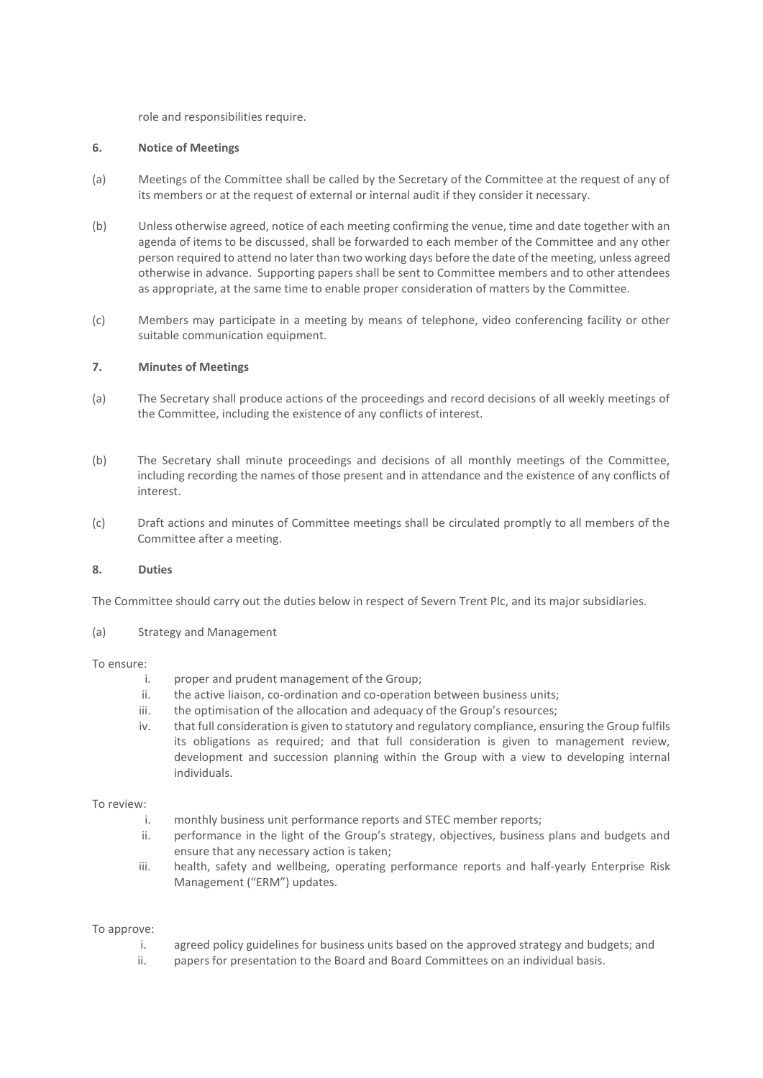role and responsibilities require.

#### **6. Notice of Meetings**

- (a) Meetings of the Committee shall be called by the Secretary of the Committee at the request of any of its members or at the request of external or internal audit if they consider it necessary.
- (b) Unless otherwise agreed, notice of each meeting confirming the venue, time and date together with an agenda of items to be discussed, shall be forwarded to each member of the Committee and any other person required to attend no later than two working days before the date of the meeting, unless agreed otherwise in advance. Supporting papers shall be sent to Committee members and to other attendees as appropriate, at the same time to enable proper consideration of matters by the Committee.
- (c) Members may participate in a meeting by means of telephone, video conferencing facility or other suitable communication equipment.

#### **7. Minutes of Meetings**

- (a) The Secretary shall produce actions of the proceedings and record decisions of all weekly meetings of the Committee, including the existence of any conflicts of interest.
- (b) The Secretary shall minute proceedings and decisions of all monthly meetings of the Committee, including recording the names of those present and in attendance and the existence of any conflicts of interest.
- (c) Draft actions and minutes of Committee meetings shall be circulated promptly to all members of the Committee after a meeting.

#### **8. Duties**

The Committee should carry out the duties below in respect of Severn Trent Plc, and its major subsidiaries.

(a) Strategy and Management

#### To ensure:

- i. proper and prudent management of the Group;
- ii. the active liaison, co-ordination and co-operation between business units;
- iii. the optimisation of the allocation and adequacy of the Group's resources;
- iv. that full consideration is given to statutory and regulatory compliance, ensuring the Group fulfils its obligations as required; and that full consideration is given to management review, development and succession planning within the Group with a view to developing internal individuals.

#### To review:

- i. monthly business unit performance reports and STEC member reports;
- ii. performance in the light of the Group's strategy, objectives, business plans and budgets and ensure that any necessary action is taken;
- iii. health, safety and wellbeing, operating performance reports and half-yearly Enterprise Risk Management ("ERM") updates.

#### To approve:

- i. agreed policy guidelines for business units based on the approved strategy and budgets; and
- ii. papers for presentation to the Board and Board Committees on an individual basis.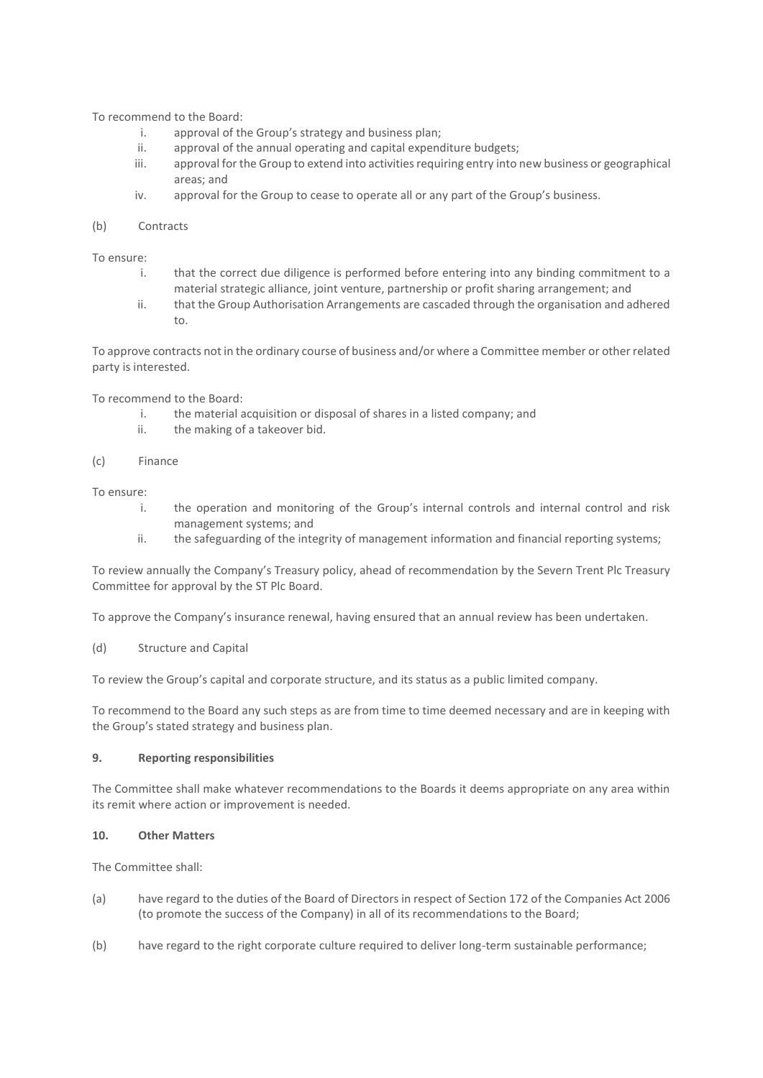To recommend to the Board:

- i. approval of the Group's strategy and business plan;
- ii. approval of the annual operating and capital expenditure budgets;
- iii. approval for the Group to extend into activities requiring entry into new business or geographical areas; and
- iv. approval for the Group to cease to operate all or any part of the Group's business.

#### (b) Contracts

To ensure:

- i. that the correct due diligence is performed before entering into any binding commitment to a material strategic alliance, joint venture, partnership or profit sharing arrangement; and
- ii. that the Group Authorisation Arrangements are cascaded through the organisation and adhered to.

To approve contracts not in the ordinary course of business and/or where a Committee member or other related party is interested.

To recommend to the Board:

- i. the material acquisition or disposal of shares in a listed company; and
- ii. the making of a takeover bid.
- (c) Finance

To ensure:

- i. the operation and monitoring of the Group's internal controls and internal control and risk management systems; and
- ii. the safeguarding of the integrity of management information and financial reporting systems;

To review annually the Company's Treasury policy, ahead of recommendation by the Severn Trent Plc Treasury Committee for approval by the ST Plc Board.

To approve the Company's insurance renewal, having ensured that an annual review has been undertaken.

(d) Structure and Capital

To review the Group's capital and corporate structure, and its status as a public limited company.

To recommend to the Board any such steps as are from time to time deemed necessary and are in keeping with the Group's stated strategy and business plan.

#### **9. Reporting responsibilities**

The Committee shall make whatever recommendations to the Boards it deems appropriate on any area within its remit where action or improvement is needed.

#### **10. Other Matters**

The Committee shall:

- (a) have regard to the duties of the Board of Directors in respect of Section 172 of the Companies Act 2006 (to promote the success of the Company) in all of its recommendations to the Board;
- (b) have regard to the right corporate culture required to deliver long-term sustainable performance;